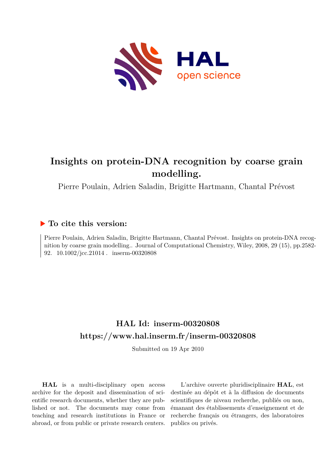

# **Insights on protein-DNA recognition by coarse grain modelling.**

Pierre Poulain, Adrien Saladin, Brigitte Hartmann, Chantal Prévost

# **To cite this version:**

Pierre Poulain, Adrien Saladin, Brigitte Hartmann, Chantal Prévost. Insights on protein-DNA recognition by coarse grain modelling.. Journal of Computational Chemistry, Wiley, 2008, 29 (15), pp.2582- 92. 10.1002/jcc.21014. inserm-00320808

# **HAL Id: inserm-00320808 <https://www.hal.inserm.fr/inserm-00320808>**

Submitted on 19 Apr 2010

**HAL** is a multi-disciplinary open access archive for the deposit and dissemination of scientific research documents, whether they are published or not. The documents may come from teaching and research institutions in France or abroad, or from public or private research centers.

L'archive ouverte pluridisciplinaire **HAL**, est destinée au dépôt et à la diffusion de documents scientifiques de niveau recherche, publiés ou non, émanant des établissements d'enseignement et de recherche français ou étrangers, des laboratoires publics ou privés.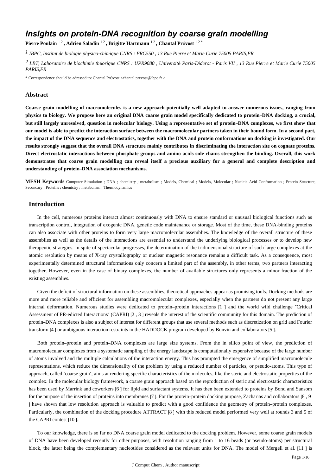# *Insights on protein-DNA recognition by coarse grain modelling*

**Pierre Poulain**  $^{12}$  **, Adrien Saladin**  $^{12}$  **, Brigitte Hartmann**  $^{12}$  **, Chantal Prévost**  $^{12\, *}$ 

<sup>*I</sup> IBPC, Institut de biologie physico-chimique CNRS : FRC550, 13 Rue Pierre et Marie Curie 75005 PARIS, FR*</sup>

<sup>2</sup> LBT, Laboratoire de biochimie théorique CNRS : UPR9080, Université Paris-Diderot - Paris VII, 13 Rue Pierre et Marie Curie 75005 *PARIS,FR*

\* Correspondence should be adressed to: Chantal Prévost <chantal.prevost@ibpc.fr >

# **Abstract**

**Coarse grain modelling of macromolecules is a new approach potentially well adapted to answer numerous issues, ranging from physics to biology. We propose here an original DNA coarse grain model specifically dedicated to protein DNA docking, a crucial,** – **but still largely unresolved, question in molecular biology. Using a representative set of protein DNA** – **complexes, we first show that our model is able to predict the interaction surface between the macromolecular partners taken in their bound form. In a second part, the impact of the DNA sequence and electrostatics, together with the DNA and protein conformations on docking is investigated. Our results strongly suggest that the overall DNA structure mainly contributes in discriminating the interaction site on cognate proteins. Direct electrostatic interactions between phosphate groups and amino acids side chains strengthen the binding. Overall, this work demonstrates that coarse grain modelling can reveal itself a precious auxiliary for a general and complete description and understanding of protein DNA association mechanisms.** –

**MESH Keywords** Computer Simulation ; DNA ; chemistry ; metabolism ; Models, Chemical ; Models, Molecular ; Nucleic Acid Conformation ; Protein Structure, Secondary ; Proteins ; chemistry ; metabolism ; Thermodynamics

## **Introduction**

In the cell, numerous proteins interact almost continuously with DNA to ensure standard or unusual biological functions such as transcription control, integration of exogenic DNA, genetic code maintenance or storage. Most of the time, these DNA-binding proteins can also associate with other proteins to form very large macromolecular assemblies. The knowledge of the overall structure of these assemblies as well as the details of the interactions are essential to understand the underlying biological processes or to develop new therapeutic strategies. In spite of spectacular progresses, the determination of the tridimensional structure of such large complexes at the atomic resolution by means of X-ray crystallography or nuclear magnetic resonance remains a difficult task. As a consequence, most experimentally determined structural informations only concern a limited part of the assembly, in other terms, two partners interacting together. However, even in the case of binary complexes, the number of available structures only represents a minor fraction of the existing assemblies.

Given the deficit of structural information on these assemblies, theoretical approaches appear as promising tools. Docking methods are more and more reliable and efficient for assembling macromolecular complexes, especially when the partners do not present any large internal deformation. Numerous studies were dedicated to protein-protein interactions [1] and the world wild challenge "Critical Assessment of PR-edicted Interactions" (CAPRI)  $[2, 3]$  reveals the interest of the scientific community for this domain. The prediction of protein-DNA complexes is also a subject of interest for different groups that use several methods such as discretization on grid and Fourier transform [4] or ambiguous interaction restraints in the HADDOCK program developed by Bonvin and collaborators [5].

Both protein-protein and protein-DNA complexes are large size systems. From the in silico point of view, the prediction of macromolecular complexes from a systematic sampling of the energy landscape is computationally expensive because of the large number of atoms involved and the multiple calculations of the interaction energy. This has prompted the emergence of simplified macromolecule representations, which reduce the dimensionality of the problem by using a reduced number of particles, or pseudo-atoms. This type of approach, called "coarse grain", aims at rendering specific characteristics of the molecules, like the steric and electrostatic properties of the complex. In the molecular biology framework, a coarse grain approach based on the reproduction of steric and electrostatic characteristics has been used by Marrink and coworkers [6] for lipid and surfactant systems. It has then been extended to proteins by Bond and Sansom for the purpose of the insertion of proteins into membranes [7]. For the protein-protein docking purpose, Zacharias and collaborators [8, 9] ] have shown that low resolution approach is valuable to predict with a good confidence the geometry of protein-protein complexes. Particularly, the combination of the docking procedure ATTRACT [8] with this reduced model performed very well at rounds 3 and 5 of the CAPRI contest  $[10]$ .

To our knowledge, there is so far no DNA coarse grain model dedicated to the docking problem. However, some coarse grain models of DNA have been developed recently for other purposes, with resolution ranging from 1 to 16 beads (or pseudo-atoms) per structural block, the latter being the complementary nucleotides considered as the relevant units for DNA. The model of Mergell et al. [11 ] is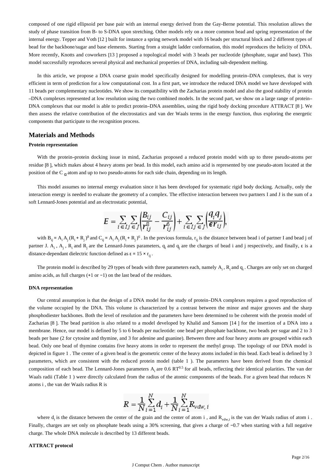composed of one rigid ellipsoid per base pair with an internal energy derived from the Gay-Berne potential. This resolution allows the study of phase transition from B- to S-DNA upon stretching. Other models rely on a more common bead and spring representation of the internal energy. Tepper and Voth [12] built for instance a spring network model with 16 beads per structural block and 2 different types of bead for the backbone/sugar and base elements. Starting from a straight ladder conformation, this model reproduces the helicity of DNA. More recently, Knotts and coworkers [13 ] proposed a topological model with 3 beads per nucleotide (phosphate, sugar and base). This model successfully reproduces several physical and mechanical properties of DNA, including salt-dependent melting.

In this article, we propose a DNA coarse grain model specifically designed for modelling protein-DNA complexes, that is very efficient in term of prediction for a low computational cost. In a first part, we introduce the reduced DNA model we have developed with 11 beads per complementary nucleotides. We show its compatibility with the Zacharias protein model and also the good stability of protein –DNA complexes represented at low resolution using the two combined models. In the second part, we show on a large range of protein– DNA complexes that our model is able to predict protein–DNA assemblies, using the rigid body docking procedure ATTRACT [8]. We then assess the relative contribution of the electrostatics and van der Waals terms in the energy function, thus exploring the energetic components that participate to the recognition process.

## **Materials and Methods**

#### **Protein representation**

With the protein-protein docking issue in mind, Zacharias proposed a reduced protein model with up to three pseudo-atoms per residue [8], which makes about 4 heavy atoms per bead. In this model, each amino acid is represented by one pseudo-atom located at the position of the C  $_{\alpha}$  atom and up to two pseudo-atoms for each side chain, depending on its length.

This model assumes no internal energy evaluation since it has been developed for systematic rigid body docking. Actually, only the interaction energy is needed to evaluate the geometry of a complex. The effective interaction between two partners I and J is the sum of a soft Lennard-Jones potential and an electrostatic potential,

$$
E = \sum_{i \in I} \sum_{j \in J} \left( \frac{B_{ij}}{r_{ij}^8} - \frac{C_{ij}}{r_{ij}^6} \right) + \sum_{i \in I} \sum_{j \in J} \left( \frac{q_i q_j}{\epsilon r_{ij}} \right),
$$

with  $B_{ij} = A_i A_j (R_i + R_j)^8$  and  $C_{ij} = A_i A_j (R_i + R_j)^6$ . In the previous formula,  $r_{ij}$  is the distance between bead i of partner I and bead j of partner J. A<sub>i</sub>, A<sub>i</sub>, R<sub>i</sub> and R<sub>i</sub> are the Lennard-Jones parameters, q<sub>i</sub> and q<sub>i</sub> are the charges of bead i and j respectively, and finally,  $\varepsilon$  is a distance-dependant dielectric function defined as  $\epsilon = 15 \times r_{ij}$ .

The protein model is described by 29 types of beads with three parameters each, namely  $A_i$ ,  $R_i$  and  $q_i$ . Charges are only set on charged amino acids, as full charges  $(+1 \text{ or } -1)$  on the last bead of the residues.

#### **DNA representation**

Our central assumption is that the design of a DNA model for the study of protein–DNA complexes requires a good reproduction of the volume occupied by the DNA. This volume is characterized by a contrast between the minor and major grooves and the sharp phosphodiester backbones. Both the level of resolution and the parameters have been determined to be coherent with the protein model of Zacharias [8]. The bead partition is also related to a model developed by Khalid and Sansom [14] for the insertion of a DNA into a membrane. Hence, our model is defined by 5 to 6 beads per nucleotide: one bead per phosphate backbone, two beads per sugar and 2 to 3 beads per base (2 for cytosine and thymine, and 3 for adenine and guanine). Between three and four heavy atoms are grouped within each bead. Only one bead of thymine contains five heavy atoms in order to represent the methyl group. The topology of our DNA model is depicted in figure 1. The center of a given bead is the geometric center of the heavy atoms included in this bead. Each bead is defined by 3 parameters, which are consistent with the reduced protein model (table 1). The parameters have been derived from the chemical composition of each bead. The Lennard-Jones parameters  $A_i$  are 0.6  $RT^{0.5}$  for all beads, reflecting their identical polarities. The van der Waals radii (Table 1) were directly calculated from the radius of the atomic components of the beads. For a given bead that reduces N atoms i, the van der Waals radius R is

$$
R = \frac{1}{N} \sum_{i=1}^{N} d_i + \frac{1}{N} \sum_{i=1}^{N} R_{vdw, i}
$$

where  $d_i$  is the distance between the center of the grain and the center of atom i, and  $R_{vdw,i}$  is the van der Waals radius of atom i. Finally, charges are set only on phosphate beads using a 30% screening, that gives a charge of -0.7 when starting with a full negative charge. The whole DNA molecule is described by 13 different beads.

#### **ATTRACT protocol**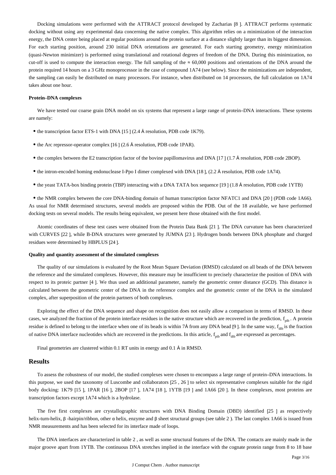Docking simulations were performed with the ATTRACT protocol developed by Zacharias [8]. ATTRACT performs systematic docking without using any experimental data concerning the native complex. This algorithm relies on a minimization of the interaction energy, the DNA center being placed at regular positions around the protein surface at a distance slightly larger than its biggest dimension. For each starting position, around 230 initial DNA orientations are generated. For each starting geometry, energy minimization (quasi-Newton minimizer) is performed using translational and rotational degrees of freedom of the DNA. During this minimization, no cut-off is used to compute the interaction energy. The full sampling of the  $\approx 60,000$  positions and orientations of the DNA around the protein required 14 hours on a 3 GHz monoprocessor in the case of compound 1A74 (see below). Since the minimizations are independent, the sampling can easily be distributed on many processors. For instance, when distributed on 14 processors, the full calculation on 1A74 takes about one hour.

#### **Protein-DNA complexes**

We have tested our coarse grain DNA model on six systems that represent a large range of protein-DNA interactions. These systems are namely:

- the transcription factor ETS-1 with DNA [15]  $(2.4 \text{ Å resolution}, \text{PDB code } 1K79)$ .
- $\bullet$  the Arc repressor-operator complex [16] (2.6 Å resolution, PDB code 1PAR).
- the complex between the E2 transcription factor of the bovine papillomavirus and DNA [17]  $(1.7 \text{ Å resolution}, PDB \text{ code } 2BOP)$ .
- $\bullet$  the intron-encoded homing endonuclease I-Ppo I dimer complexed with DNA [18 ], (2.2 Å resolution, PDB code 1A74).
- the yeast TATA-box binding protein (TBP) interacting with a DNA TATA box sequence [19] (1.8 Å resolution, PDB code 1YTB)

• the NMR complex between the core DNA-binding domain of human transcription factor NFATC1 and DNA [20] (PDB code 1A66). As usual for NMR determined structures, several models are proposed within the PDB. Out of the 18 available, we have performed docking tests on several models. The results being equivalent, we present here those obtained with the first model.

Atomic coordinates of these test cases were obtained from the Protein Data Bank [21 ]. The DNA curvature has been characterized with CURVES [22 ], while B-DNA structures were generated by JUMNA [23 ]. Hydrogen bonds between DNA phosphate and charged residues were determined by HBPLUS [24 ].

#### **Quality and quantity assessment of the simulated complexes**

The quality of our simulations is evaluated by the Root Mean Square Deviation (RMSD) calculated on all beads of the DNA between the reference and the simulated complexes. However, this measure may be insufficient to precisely characterize the position of DNA with respect to its proteic partner [4 ]. We thus used an additional parameter, namely the geometric center distance (GCD). This distance is calculated between the geometric center of the DNA in the reference complex and the geometric center of the DNA in the simulated complex, after superposition of the protein partners of both complexes.

Exploring the effect of the DNA sequence and shape on recognition does not easily allow a comparison in terms of RMSD. In these cases, we analyzed the fraction of the protein interface residues in the native structure which are recovered in the prediction,  $f_{\text{pib}}$ . A protein residue is defined to belong to the interface when one of its beads is within  $7\text{\AA}$  from any DNA bead [9]. In the same way,  $f_{\text{dib}}$  is the fraction of native DNA interface nucleotides which are recovered in the predictions. In this article,  $f_{\text{pib}}$  and  $f_{\text{dib}}$  are expressed as percentages.

Final geometries are clustered within  $0.1$  RT units in energy and  $0.1$  Å in RMSD.

#### **Results**

To assess the robustness of our model, the studied complexes were chosen to encompass a large range of protein DNA interactions. In – this purpose, we used the taxonomy of Luscombe and collaborators  $[25, 26]$  to select six representative complexes suitable for the rigid body docking: 1K79 [15 ], 1PAR [16 ], 2BOP [17 ], 1A74 [18 ], 1YTB [19 ] and 1A66 [20 ]. In these complexes, most proteins are transcription factors except 1A74 which is a hydrolase.

The five first complexes are crystallographic structures with DNA Binding Domain (DBD) identified  $[25]$  as respectively helix-turn-helix, β -hairpin/ribbon, other α helix, enzyme and β sheet structural groups (see table 2). The last complex 1A66 is issued from NMR measurements and has been selected for its interface made of loops.

The DNA interfaces are characterized in table 2, as well as some structural features of the DNA. The contacts are mainly made in the major groove apart from 1YTB. The continuous DNA stretches implied in the interface with the cognate protein range from 8 to 18 base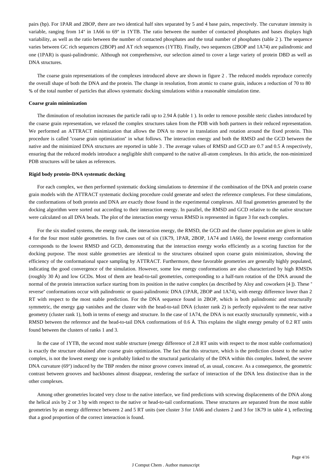pairs (bp). For 1PAR and 2BOP, there are two identical half sites separated by 5 and 4 base pairs, respectively. The curvature intensity is variable, ranging from  $14^{\circ}$  in 1A66 to 69 $^{\circ}$  in 1YTB. The ratio between the number of contacted phosphates and bases displays high variability, as well as the ratio between the number of contacted phosphates and the total number of phosphates (table 2). The sequence varies between GC rich sequences (2BOP) and AT rich sequences (1YTB). Finally, two sequences (2BOP and 1A74) are palindromic and one (1PAR) is quasi-palindromic. Although not comprehensive, our selection aimed to cover a large variety of protein DBD as well as DNA structures.

The coarse grain representations of the complexes introduced above are shown in figure 2. The reduced models reproduce correctly the overall shape of both the DNA and the protein. The change in resolution, from atomic to coarse grain, induces a reduction of 70 to 80 % of the total number of particles that allows systematic docking simulations within a reasonable simulation time.

#### **Coarse grain minimization**

The diminution of resolution increases the particle radii up to 2.94  $\AA$  (table 1). In order to remove possible steric clashes introduced by the coarse grain representation, we relaxed the complex structures taken from the PDB with both partners in their reduced representation. We performed an ATTRACT minimization that allows the DNA to move in translation and rotation around the fixed protein. This procedure is called "coarse grain optimization" in what follows. The interaction energy and both the RMSD and the GCD between the native and the minimized DNA structures are reported in table 3. The average values of RMSD and GCD are 0.7 and 0.5 Å respectively, ensuring that the reduced models introduce a negligible shift compared to the native all-atom complexes. In this article, the non-minimized PDB structures will be taken as references.

#### **Rigid body protein DNA systematic docking** –

For each complex, we then performed systematic docking simulations to determine if the combination of the DNA and protein coarse grain models with the ATTRACT systematic docking procedure could generate and select the reference complexes. For these simulations, the conformations of both protein and DNA are exactly those found in the experimental complexes. All final geometries generated by the docking algorithm were sorted out according to their interaction energy. In parallel, the RMSD and GCD relative to the native structure were calculated on all DNA beads. The plot of the interaction energy versus RMSD is represented in figure 3 for each complex.

For the six studied systems, the energy rank, the interaction energy, the RMSD, the GCD and the cluster population are given in table 4 for the four most stable geometries. In five cases out of six (1K79, 1PAR, 2BOP, 1A74 and 1A66), the lowest energy conformation corresponds to the lowest RMSD and GCD, demonstrating that the interaction energy works efficiently as a scoring function for the docking purpose. The most stable geometries are identical to the structures obtained upon coarse grain minimization, showing the efficiency of the conformational space sampling by ATTRACT. Furthermore, these favorable geometries are generally highly populated, indicating the good convergence of the simulation. However, some low energy conformations are also characterized by high RMSDs (roughly 30  $\AA$ ) and low GCDs. Most of them are head-to-tail geometries, corresponding to a half-turn rotation of the DNA around the normal of the protein interaction surface starting from its position in the native complex (as described by Aloy and coworkers [4]). These " reverse" conformations occur with palindromic or quasi-palindromic DNA (1PAR, 2BOP and 1A74), with energy difference lower than 2 RT with respect to the most stable prediction. For the DNA sequence found in 2BOP, which is both palindromic and structurally symmetric, the energy gap vanishes and the cluster with the head-to-tail DNA (cluster rank 2) is perfectly equivalent to the near native geometry (cluster rank 1), both in terms of energy and structure. In the case of 1A74, the DNA is not exactly structurally symmetric, with a RMSD between the reference and the head-to-tail DNA conformations of  $0.6 \text{ Å}$ . This explains the slight energy penalty of  $0.2 \text{ RT}$  units found between the clusters of ranks 1 and 3.

In the case of 1YTB, the second most stable structure (energy difference of 2.8 RT units with respect to the most stable conformation) is exactly the structure obtained after coarse grain optimization. The fact that this structure, which is the prediction closest to the native complex, is not the lowest energy one is probably linked to the structural particularity of the DNA within this complex. Indeed, the severe DNA curvature  $(69^\circ)$  induced by the TBP renders the minor groove convex instead of, as usual, concave. As a consequence, the geometric contrast between grooves and backbones almost disappear, rendering the surface of interaction of the DNA less distinctive than in the other complexes.

Among other geometries located very close to the native interface, we find predictions with screwing displacements of the DNA along the helical axis by 2 or 3 bp with respect to the native or head-to-tail conformations. These structures are separated from the most stable geometries by an energy difference between 2 and 5 RT units (see cluster 3 for 1A66 and clusters 2 and 3 for 1K79 in table 4), reflecting that a good proportion of the correct interaction is found.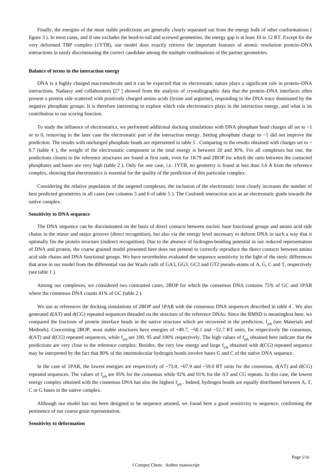Finally, the energies of the most stable predictions are generally clearly separated out from the energy bulk of other conformations ( figure 3 ). In most cases, and if one excludes the head-to-tail and screwed geometries, the energy gap is at least 10 to 12 RT. Except for the very deformed TBP complex (1YTB), our model does exactly retrieve the important features of atomic resolution protein-DNA interactions in easily discriminating the correct candidate among the multiple combinations of the partner geometries.

#### **Balance of terms in the interaction energy**

DNA is a highly charged macromolecule and it can be expected that its electrostatic nature plays a significant role in protein-DNA interactions. Nadassy and collaborators [27] showed from the analysis of crystallographic data that the protein-DNA interfaces often present a protein side scattered with positively charged amino acids (lysine and arginine), responding to the DNA trace dominated by the negative phosphate groups. It is therefore interesting to explore which role electrostatics plays in the interaction energy, and what is its contribution to our scoring function.

To study the influence of electrostatics, we performed additional docking simulations with DNA phosphate bead charges all set to -1 or to 0, removing in the later case the electrostatic part of the interaction energy. Setting phosphate charge to -1 did not improve the prediction. The results with uncharged phosphate beads are represented in table 5. Comparing to the results obtained with charges set to −  $0.7$  (table 4), the weight of the electrostatic component in the total energy is between 20 and 30%. For all complexes but one, the predictions closest to the reference structures are found at first rank, even for 1K79 and 2BOP for which the ratio between the contacted phosphates and bases are very high (table 2). Only for one case, i.e. 1YTB, no geometry is found at less than 3.6 Å from the reference complex, showing that electrostatics is essential for the quality of the prediction of this particular complex.

Considering the relative population of the targeted complexes, the inclusion of the electrostatic term clearly increases the number of best predicted geometries in all cases (see columns 5 and 6 of table 5 ). The Coulomb interaction acts as an electrostatic guide towards the native complex.

#### **Sensitivity to DNA sequence**

The DNA sequence can be discriminated on the basis of direct contacts between nucleic base functional groups and amino acid side chains in the minor and major grooves (direct recognition), but also via the energy level necessary to deform DNA in such a way that it optimally fits the protein structure (indirect recognition). Due to the absence of hydrogen-bonding potential in our reduced representation of DNA and protein, the coarse grained model presented here does not pretend to correctly reproduce the direct contacts between amino acid side chains and DNA functional groups. We have nevertheless evaluated the sequence sensitivity in the light of the steric differences that arise in our model from the differential van der Waals radii of GA3, GG3, GC2 and GT2 pseudo-atoms of A, G, C and T, respectively (see table  $1$ ).

Among our complexes, we considered two contrasted cases, 2BOP for which the consensus DNA contains 75% of GC and 1PAR where the consensus DNA counts  $41\%$  of GC (table 2).

We use as references the docking simulations of 2BOP and 1PAR with the consensus DNA sequences described in table 4. We also generated d(AT) and d(CG) repeated sequences threaded on the structure of the reference DNAs. Since the RMSD is meaningless here, we compared the fractions of protein interface beads in the native structure which are recovered in the prediction,  $f_{\text{pib}}$  (see Materials and Methods). Concerning 2BOP, most stable structures have energies of -49.7, -50.1 and -52.7 RT units, for respectively the consensus,  $d(AT)$  and  $d(CG)$  repeated sequences, while  $f_{\text{pib}}$  are 100, 95 and 100% respectively. The high values of  $f_{\text{pib}}$  obtained here indicate that the predictions are very close to the reference complex. Besides, the very low energy and large  $f_{\text{nih}}$  obtained with d(CG) repeated sequence may be interpreted by the fact that 80% of the intermolecular hydrogen bonds involve bases G and C of the native DNA sequence.

In the case of 1PAR, the lowest energies are respectively of  $-73.0$ ,  $-67.9$  and  $-59.0$  RT units for the consensus, d(AT) and d(CG) repeated sequences. The values of  $f_{\text{nih}}$  are 95% for the consensus while 92% and 91% for the AT and CG repeats. In this case, the lowest energy complex obtained with the consensus DNA has also the highest  $f_{\text{nih}}$ . Indeed, hydrogen bonds are equally distributed between A, T, C or G bases in the native complex.

Although our model has not been designed to be sequence attuned, we found here a good sensitivity to sequence, confirming the pertinence of our coarse grain representation.

#### **Sensitivity to deformation**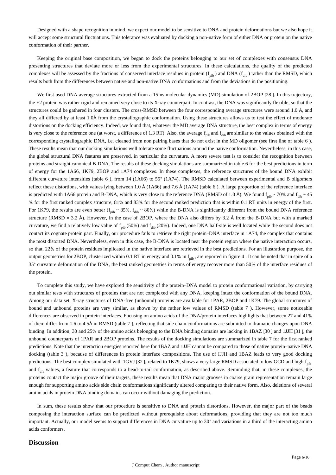Designed with a shape recognition in mind, we expect our model to be sensitive to DNA and protein deformations but we also hope it will accept some structural fluctuations. This tolerance was evaluated by docking a non-native form of either DNA or protein on the native conformation of their partner.

Keeping the original base composition, we began to dock the proteins belonging to our set of complexes with consensus DNA presenting structures that deviate more or less from the experimental structures. In these calculations, the quality of the predicted complexes will be assessed by the fractions of conserved interface residues in protein  $(f_{\text{pib}})$  and DNA  $(f_{\text{dib}})$  rather than the RMSD, which results both from the differences between native and non-native DNA conformations and from the deviations in the positioning.

We first used DNA average structures extracted from a 15 ns molecular dynamics (MD) simulation of 2BOP [28]. In this trajectory, the E2 protein was rather rigid and remained very close to its X-ray counterpart. In contrast, the DNA was significantly flexible, so that the structures could be gathered in four clusters. The cross-RMSD between the four corresponding average structures were around 1.0 Å, and they all differed by at least 1.0Å from the crystallographic conformation. Using these structures allows us to test the effect of moderate distortions on the docking efficiency. Indeed, we found that, whatever the MD average DNA structure, the best complex in terms of energy is very close to the reference one (at worst, a difference of 1.3 RT). Also, the average  $f_{\text{pib}}$  and  $f_{\text{dib}}$  are similar to the values obtained with the corresponding crystallographic DNA, i.e. cleaned from non pairing bases that do not exist in the MD oligomer (see first line of table  $6$ ). These results mean that our docking simulations well tolerate some fluctuations around the native conformation. Nevertheless, in this case, the global structural DNA features are preserved, in particular the curvature. A more severe test is to consider the recognition between proteins and straight canonical B-DNA. The results of these docking simulations are summarized in table 6 for the best predictions in term of energy for the 1A66, 1K79, 2BOP and 1A74 complexes. In these complexes, the reference structures of the bound DNA exhibit different curvature intensities (table 6), from 14 (1A66) to 55 $^{\circ}$  (1A74). The RMSD calculated between experimental and B oligomers reflect these distortions, with values lying between 1.0 Å (1A66) and 7.6 Å (1A74) (table 6). A large proportion of the reference interface is predicted with 1A66 protein and B-DNA, which is very close to the reference DNA (RMSD of 1.0 Å). We found  $f_{\text{pib}} \sim 70\%$  and  $f_{\text{dib}} \sim 45$ % for the first ranked complex structure, 81% and 83% for the second ranked prediction that is within 0.1 RT units in energy of the first. For 1K79, the results are even better ( $f_{\text{pib}} \sim 85\%$ ,  $f_{\text{dib}} \sim 80\%$ ) while the B-DNA is significantly different from the bound DNA reference structure (RMSD = 3.2 Å). However, in the case of 2BOP, where the DNA also differs by 3.2 Å from the B-DNA but with a marked curvature, we find a relatively low value of  $f_{\text{pib}}(50\%)$  and  $f_{\text{dib}}(20\%)$ . Indeed, one DNA half-site is well located while the second does not contact its cognate protein part. Finally, our procedure fails to retrieve the right protein-DNA interface in 1A74, the complex that contains the most distorted DNA. Nevertheless, even in this case, the B-DNA is located near the protein region where the native interaction occurs, so that, 22% of the protein residues implicated in the native interface are retrieved in the best predictions. For an illustration purpose, the output geometries for 2BOP, clusterized within 0.1 RT in energy and 0.1% in  $f_{\text{nih}}$ , are reported in figure 4. It can be noted that in spite of a 35° curvature deformation of the DNA, the best ranked geometries in terms of energy recover more than 50% of the interface residues of the protein.

To complete this study, we have explored the sensitivity of the protein-DNA model to protein conformational variation, by carrying out similar tests with structures of proteins that are not complexed with any DNA, keeping intact the conformation of the bound DNA. Among our data set, X-ray structures of DNA-free (unbound) proteins are available for 1PAR, 2BOP and 1K79. The global structures of bound and unbound proteins are very similar, as shown by the rather low values of RMSD (table 7). However, some noticeable differences are observed in protein interfaces. Focusing on amino acids of the DNA/protein interfaces highlights that between 27 and 41% of them differ from 1.6 to 4.5Å in RMSD (table 7), reflecting that side chain conformations are submitted to dramatic changes upon DNA binding. In addition, 30 and 25% of the amino acids belonging to the DNA binding domains are lacking in  $1BAZ$  [30] and 1JJH [31], the unbound counterparts of 1PAR and 2BOP proteins. The results of the docking simulations are summarized in table 7 for the first ranked predictions. Note that the interaction energies reported here for 1BAZ and 1JJH cannot be compared to those of native protein-native DNA docking (table 3), because of differences in protein interface compositions. The use of IJJH and 1BAZ leads to very good docking predictions. The best complex simulated with 1GVJ [32], related to 1K79, shows a very large RMSD associated to low GCD and high  $f_{\text{pib}}$ and  $f_{\text{dib}}$  values, a feature that corresponds to a head-to-tail conformation, as described above. Reminding that, in these complexes, the proteins contact the major groove of their targets, these results mean that DNA major grooves in coarse grain representation remain large enough for supporting amino acids side chain conformations significantly altered comparing to their native form. Also, deletions of several amino acids in protein DNA binding domains can occur without damaging the prediction.

In sum, these results show that our procedure is sensitive to DNA and protein distortions. However, the major part of the beads composing the interaction surface can be predicted without prerequisite about deformations, providing that they are not too much important. Actually, our model seems to support differences in DNA curvature up to  $30^{\circ}$  and variations in a third of the interacting amino acids conformers.

# **Discussion**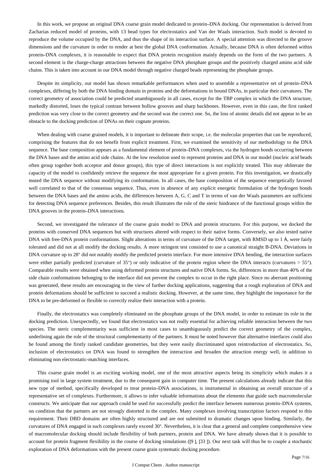In this work, we propose an original DNA coarse grain model dedicated to protein–DNA docking. Our representation is derived from Zacharias reduced model of proteins, with 13 bead types for electrostatics and Van der Waals interaction. Such model is devoted to reproduce the volume occupied by the DNA, and thus the shape of its interaction surface. A special attention was directed to the groove dimensions and the curvature in order to render at best the global DNA conformation. Actually, because DNA is often deformed within protein–DNA complexes, it is reasonable to expect that DNA protein recognition mainly depends on the form of the two partners. A second element is the charge-charge attractions between the negative DNA phosphate groups and the positively charged amino acid side chains. This is taken into account in our DNA model through negative charged beads representing the phosphate groups.

Despite its simplicity, our model has shown remarkable performances when used to assemble a representative set of protein-DNA complexes, differing by both the DNA binding domain in proteins and the deformations in bound DNAs, in particular their curvatures. The correct geometry of association could be predicted unambiguously in all cases, except for the TBP complex in which the DNA structure, markedly distorted, loses the typical contrast between hollow grooves and sharp backbones. However, even in this case, the first ranked prediction was very close to the correct geometry and the second was the correct one. So, the loss of atomic details did not appear to be an obstacle to the docking prediction of DNAs on their cognate proteins.

When dealing with coarse grained models, it is important to delineate their scope, i.e. the molecular properties that can be reproduced. comprising the features that do not benefit from explicit treatment. First, we examined the sensitivity of our methodology to the DNA sequence. The base composition appears as a fundamental element of protein–DNA complexes, via the hydrogen bonds occurring between the DNA bases and the amino acid side chains. At the low resolution used to represent proteins and DNA in our model (nucleic acid beads often group together both acceptor and donor groups), this type of direct interactions is not explicitly treated. This may obliterate the capacity of the model to confidently retrieve the sequence the most appropriate for a given protein. For this investigation, we drastically muted the DNA sequence without modifying its conformation. In all cases, the base composition of the sequence energetically favored well correlated to that of the consensus sequence. Thus, even in absence of any explicit energetic formulation of the hydrogen bonds between the DNA bases and the amino acids, the differences between A, G, C and T in terms of van der Waals parameters are sufficient for detecting DNA sequence preferences. Besides, this result illustrates the role of the steric hindrance of the functional groups within the DNA grooves in the protein-DNA interactions.

Second, we investigated the tolerance of the coarse grain model to DNA and protein structures. For this purpose, we docked the proteins with conserved DNA sequences but with structures altered with respect to their native forms. Conversely, we also tested native DNA with free-DNA protein conformations. Slight alterations in terms of curvature of the DNA target, with RMSD up to 1 Å, were fairly tolerated and did not at all modify the docking results. A more stringent test consisted to use a canonical straight B-DNA. Deviations in DNA curvature up to 28° did not notably modify the predicted protein interface. For more intensive DNA bending, the interaction surfaces were either partially predicted (curvature of 35 $^{\circ}$ ) or only indicative of the protein region where the DNA interacts (curvatures  $> 55^{\circ}$ ). Comparable results were obtained when using deformed protein structures and native DNA forms. So, differences in more than 40% of the side chain conformations belonging to the interface did not prevent the complex to occur in the right place. Since no aberrant positioning was generated, these results are encouraging in the view of further docking applications, suggesting that a rough exploration of DNA and protein deformations should be sufficient to succeed a realistic docking. However, at the same time, they highlight the importance for the DNA to be pre-deformed or flexible to correctly realize their interaction with a protein.

Finally, the electrostatics was completely eliminated on the phosphate groups of the DNA model, in order to estimate its role in the docking prediction. Unexpectedly, we found that electrostatics was not really essential for achieving reliable interaction between the two species. The steric complementarity was sufficient in most cases to unambiguously predict the correct geometry of the complex, underlining again the role of the structural complementarity of the partners. It must be noted however that alternative interfaces could also be found among the firstly ranked candidate geometries, but they were easily discriminated upon reintroduction of electrostatics. So, inclusion of electrostatics on DNA was found to strengthen the interaction and broaden the attraction energy well, in addition to eliminating non electrostatic-matching interfaces.

This coarse grain model is an exciting working model, one of the most attractive aspects being its simplicity which makes it a promising tool in large system treatment, due to the consequent gain in computer time. The present calculations already indicate that this new type of method, specifically developed to treat protein-DNA associations, is instrumental in obtaining an overall structure of a representative set of complexes. Furthermore, it allows to infer valuable informations about the elements that guide such macromolecular constructs. We anticipate that our approach could be used for successfully predict the interface between numerous protein-DNA systems, on condition that the partners are not strongly distorted in the complex. Many complexes involving transcription factors respond to this requirement. Their DBD domains are often highly structured and are not submitted to dramatic changes upon binding. Similarly, the curvatures of DNA engaged in such complexes rarely exceed  $30^{\circ}$ . Nevertheless, it is clear that a general and complete comprehensive view of macromolecular docking should include flexibility of both partners, protein and DNA. We have already shown that it is possible to account for protein fragment flexibility in the course of docking simulations ([9], [33]). Our next task will thus be to couple a stochastic exploration of DNA deformations with the present coarse grain systematic docking procedure.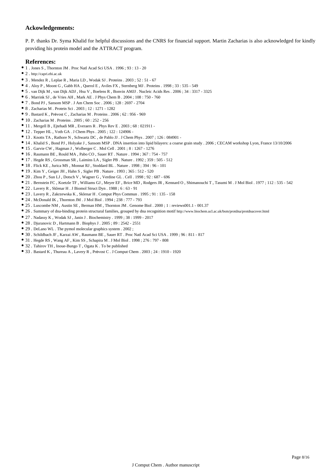# **Ackowledgements:**

P. P. thanks Dr. Syma Khalid for helpful discussions and the CNRS for financial support. Martin Zacharias is also acknowledged for kindly providing his protein model and the ATTRACT program.

#### **References:**

- 1 . Jones S , Thornton JM . Proc Natl Acad Sci USA . 1996 ; 93 : 13 20
- 2 . http://capri.ebi.ac.uk
- $\bullet$  3 . Mendez R , Leplae R , Maria LD , Wodak SJ . Proteins . 2003 ; 52 : 51 67
- 4 . Aloy P , Moont G , Gabb HA , Querol E , Aviles FX , Sternberg MJ . Proteins . 1998 ; 33 : 535 549
- 5 . van Dijk M , van Dijk ADJ , Hsu V , Boelens R , Bonvin AMJJ . Nucleic Acids Res . 2006 ; 34 : 3317 3325
- $\bullet$  6 . Marrink SJ , de Vries AH , Mark AE . J Phys Chem B . 2004 ; 108 : 750 760
- 7 . Bond PJ , Sansom MSP . J Am Chem Soc . 2006 ; 128 : 2697 2704
- 8 . Zacharias M . Protein Sci . 2003 ; 12 : 1271 1282
- $\bullet$  9. Bastard K, Prévost C, Zacharias M. Proteins . 2006; 62: 956 969
- 10 . Zacharias M . Proteins . 2005 ; 60 : 252 256
- $\bullet$  11 . Mergell B , Ejtehadi MR , Everaers R . Phys Rev E . 2003 ; 68 : 021911 -
- 12 . Tepper HL , Voth GA . J Chem Phys . 2005 ; 122 : 124906 -
- 13 . Knotts TA , Rathore N , Schwartz DC , de Pablo JJ . J Chem Phys . 2007 ; 126 : 084901 -
- 14 . Khalid S , Bond PJ , Holyake J , Sansom MSP . DNA insertion into lipid bilayers: a coarse grain study . 2006 ; CECAM workshop Lyon, France 13/10/2006
- 15 . Garvie CW , Hagman J , Wolberger C . Mol Cell . 2001 ; 8 : 1267 1276
- 16 . Raumann BE , Rould MA , Pabo CO , Sauer RT . Nature . 1994 ; 367 : 754 757
- 17 . Hegde RS , Grossman SR , Laimins LA , Sigler PB . Nature . 1992 ; 359 : 505 512
- 18 . Flick KE , Jurica MS , Monnat RJ , Stoddard BL . Nature . 1998 ; 394 : 96 101
- $\bullet$  19 . Kim Y , Geiger JH , Hahn S , Sigler PB . Nature . 1993 ; 365 : 512 520
- 20 . Zhou P , Sun LJ , Dotsch V , Wagner G , Verdine GL . Cell . 1998 ; 92 : 687 696
- 21 . Bernstein FC , Koetzle TF , Williams GJ , Meyer EF , Brice MD , Rodgers JR , Kennard O , Shimanouchi T , Tasumi M . J Mol Biol . 1977 ; 112 : 535 542
- 22 . Lavery R , Sklenar H . J Biomol Struct Dyn . 1988 ; 6 : 63 91
- 23 . Lavery R , Zakrzewska K , Sklenar H . Comput Phys Commun . 1995 ; 91 : 135 158
- 24 . McDonald IK , Thornton JM . J Mol Biol . 1994 ; 238 : 777 793
- 25 . Luscombe NM , Austin SE , Berman HM , Thornton JM . Genome Biol . 2000 ; 1 : reviews001.1 001.37
- 26 . Summary of dna-binding protein structural families, grouped by dna recognition motif http://www.biochem.ucl.ac.uk/bsm/protdna/protdnacover.html
- 27 . Nadassy K , Wodak SJ , Janin J . Biochemistry . 1999 ; 38 : 1999 2017
- 28 . Djuranovic D , Hartmann B . Biophys J . 2005 ; 89 : 2542 2551
- 29 . DeLano WL . The pymol molecular graphics system . 2002 ;
- 30 . Schildbach JF , Karzai AW , Raumann BE , Sauer RT . Proc Natl Acad Sci USA . 1999 ; 96 : 811 817
- 31 . Hegde RS , Wang AF , Kim SS , Schapira M . J Mol Biol . 1998 ; 276 : 797 808
- 32 . Tahirov TH , Inoue-Bungo T , Ogata K . To be published
- $\bullet$  33 . Bastard K, Thureau A, Lavery R, Prévost C. J Comput Chem . 2003 ; 24 : 1910 1920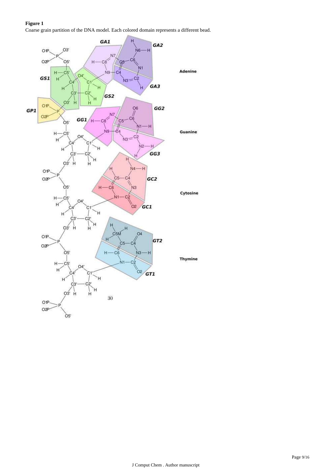# **Figure 1** Coarse grain partition of the DNA model. Each colored domain represents a different bead.

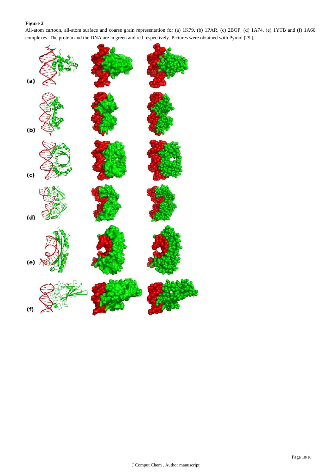# **Figure 2**

All-atom cartoon, all-atom surface and coarse grain representation for (a) 1K79, (b) 1PAR, (c) 2BOP, (d) 1A74, (e) 1YTB and (f) 1A66 complexes. The protein and the DNA are in green and red respectively. Pictures were obtained with Pymol [29].

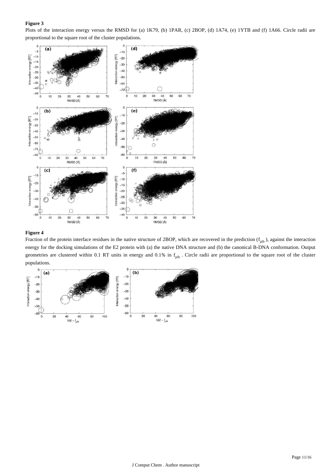# **Figure 3**

Plots of the interaction energy versus the RMSD for (a) 1K79, (b) 1PAR, (c) 2BOP, (d) 1A74, (e) 1YTB and (f) 1A66. Circle radii are proportional to the square root of the cluster populations.



## **Figure 4**

Fraction of the protein interface residues in the native structure of 2BOP, which are recovered in the prediction  $(f_{\text{pib}})$ , against the interaction energy for the docking simulations of the E2 protein with (a) the native DNA structure and (b) the canonical B-DNA conformation. Output geometries are clustered within 0.1 RT units in energy and 0.1% in  $f_{\text{pib}}$ . Circle radii are proportional to the square root of the cluster populations.

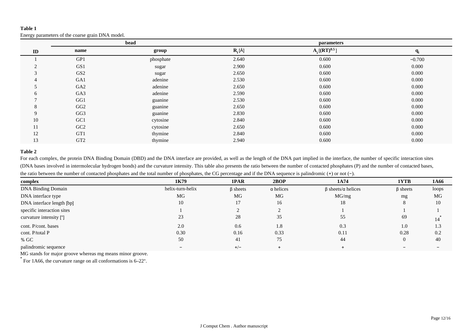# **Table 1** Energy parameters of the coarse grain DNA model.

|              |                 | bead      |            | parameters         |          |
|--------------|-----------------|-----------|------------|--------------------|----------|
| ID           | name            | group     | $R_i[\AA]$ | $A_i [(RT)^{0.5}]$ | $q_i$    |
|              | GP1             | phosphate | 2.640      | 0.600              | $-0.700$ |
| $\sim$<br>∠  | GS1             | sugar     | 2.900      | 0.600              | 0.000    |
| 3            | GS <sub>2</sub> | sugar     | 2.650      | 0.600              | 0.000    |
| 4            | GA1             | adenine   | 2.530      | 0.600              | 0.000    |
| 5            | GA <sub>2</sub> | adenine   | 2.650      | 0.600              | 0.000    |
| 6            | GA <sub>3</sub> | adenine   | 2.590      | 0.600              | 0.000    |
| $\mathbf{r}$ | GG1             | guanine   | 2.530      | 0.600              | 0.000    |
| 8            | GG <sub>2</sub> | guanine   | 2.650      | 0.600              | 0.000    |
| 9            | GG <sub>3</sub> | guanine   | 2.830      | 0.600              | 0.000    |
| 10           | GC1             | cytosine  | 2.840      | 0.600              | 0.000    |
| <b>T</b> 1   | GC <sub>2</sub> | cytosine  | 2.650      | 0.600              | 0.000    |
| 12           | GT1             | thymine   | 2.840      | 0.600              | 0.000    |
| 13           | GT <sub>2</sub> | thymine   | 2.940      | 0.600              | 0.000    |

# **Table 2**

For each complex, the protein DNA Binding Domain (DBD) and the DNA interface are provided, as well as the length of the DNA part implied in the interface, the number of specific interaction sites (DNA bases involved in intermolecular hydrogen bonds) and the curvature intensity. This table also presents the ratio between the number of contacted phosphates (P) and the number of contacted bases, the ratio between the number of contacted phosphates and the total number of phosphates, the CG percentage and if the DNA sequence is palindromic (+) or not (−).

| complex                    | 1K79             | 1PAR           | 2BOP             | 1A74                             | 1YTB           | <b>1A66</b> |
|----------------------------|------------------|----------------|------------------|----------------------------------|----------------|-------------|
| <b>DNA Binding Domain</b>  | helix-turn-helix | $\beta$ sheets | $\alpha$ helices | $\beta$ sheets/ $\alpha$ helices | $\beta$ sheets | loops       |
| DNA interface type         | MG               | MG             | MG               | MG/mg                            | mg             | MG          |
| DNA interface length [bp]  | 10               | 17             | 16               | 18                               | 8              | 10          |
| specific interaction sites |                  |                |                  |                                  |                |             |
| curvature intensity [°]    | 23               | 28             | 35               | 55                               | 69             | 14          |
| cont. P/cont. bases        | 2.0              | 0.6            | 1.8              | 0.3                              | 1.0            | 1.3         |
| cont. P/total P            | 0.30             | 0.16           | 0.33             | 0.11                             | 0.28           | 0.2         |
| $%$ GC                     | 50               | 41             | 75               | 44                               | $\overline{0}$ | 40          |
| palindromic sequence       |                  | $+/-$          |                  |                                  |                |             |

MG stands for major groove whereas mg means minor groove.

 $*$  For 1A66, the curvature range on all conformations is 6–22 $^{\circ}$ .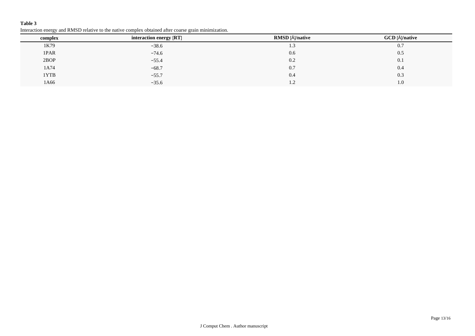| Interaction energy and RMSD relative to the native complex obtained after coarse grain minimization. |
|------------------------------------------------------------------------------------------------------|
|------------------------------------------------------------------------------------------------------|

| complex | interaction energy [RT] | RMSD [Å]/native | <b>GCD</b> [Å]/native |
|---------|-------------------------|-----------------|-----------------------|
| 1K79    | $-38.6$                 | 1.3             | 0.7                   |
| 1PAR    | $-74.6$                 | 0.6             | 0.5                   |
| 2BOP    | $-55.4$                 | 0.2             | 0.1                   |
| 1A74    | $-68.7$                 | 0.7             | 0.4                   |
| 1YTB    | $-55.7$                 | 0.4             | 0.3                   |
| 1A66    | $-35.6$                 | 1.2             | 1.0                   |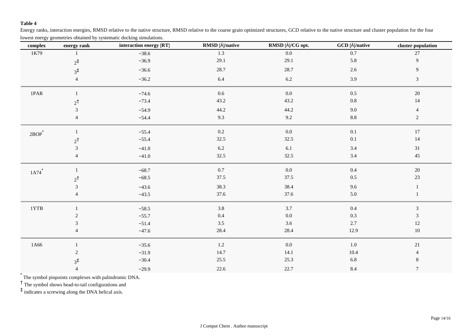Energy ranks, interaction energies, RMSD relative to the native structure, RMSD relative to the coarse grain optimized structures, GCD relative to the native structure and cluster population for the four lowest energy geometries obtained by systematic docking simulations.

| complex             | energy rank                 | interaction energy [RT] | RMSD [Å]/native | RMSD [Å]/CG opt. | $\mathbf{GCD}$ [Å]/native | cluster population |
|---------------------|-----------------------------|-------------------------|-----------------|------------------|---------------------------|--------------------|
| 1K79                |                             | $-38.6$                 | 1.3             | $0.0\,$          | $0.7\,$                   | $27\,$             |
|                     | $2^{\ddagger}$              | $-36.9$                 | 29.1            | 29.1             | 5.8                       | 9                  |
|                     | $3^{\ddagger}$              | $-36.6$                 | 28.7            | 28.7             | $2.6\,$                   | $\overline{9}$     |
|                     | $\overline{4}$              | $-36.2$                 | $6.4\,$         | $6.2\,$          | 3.9                       | $\mathfrak{Z}$     |
| 1PAR                |                             | $-74.6$                 | 0.6             | $0.0\,$          | $0.5\,$                   | $20\,$             |
|                     | $2^{\dagger}$               | $-73.4$                 | 43.2            | 43.2             | $0.8\,$                   | 14                 |
|                     | 3                           | $-54.9$                 | 44.2            | 44.2             | 9.0                       | $\overline{4}$     |
|                     | $\overline{4}$              | $-54.4$                 | 9.3             | 9.2              | $8.8\,$                   | $\sqrt{2}$         |
| $2BOP^*$            |                             | $-55.4$                 | $0.2\,$         | $0.0\,$          | 0.1                       | 17                 |
|                     | $2^{\dagger}$               | $-55.4$                 | 32.5            | 32.5             | $0.1\,$                   | 14                 |
|                     | 3                           | $-41.0$                 | $6.2\,$         | 6.1              | 3.4                       | 31                 |
|                     | $\boldsymbol{\vartriangle}$ | $-41.0$                 | 32.5            | 32.5             | 3.4                       | $45\,$             |
| $1A74$ <sup>*</sup> |                             | $-68.7$                 | $0.7\,$         | $0.0\,$          | $0.4\,$                   | $20\,$             |
|                     | $2^{\dagger}$               | $-68.5$                 | 37.5            | 37.5             | $0.5\,$                   | $23\,$             |
|                     | 3                           | $-43.6$                 | 38.3            | 38.4             | 9.6                       |                    |
|                     | $\overline{4}$              | $-43.5$                 | 37.6            | 37.6             | 5.0                       |                    |
| 1YTB                |                             | $-58.5$                 | $3.8\,$         | 3.7              | $0.4\,$                   | $\sqrt{3}$         |
|                     | 2                           | $-55.7$                 | $0.4\,$         | $0.0\,$          | 0.3                       | 3                  |
|                     | 3                           | $-51.4$                 | $3.5\,$         | 3.6              | 2.7                       | $12\,$             |
|                     | $\overline{4}$              | $-47.6$                 | 28.4            | 28.4             | 12.9                      | $10\,$             |
| 1A66                | $\mathbf{1}$                | $-35.6$                 | $1.2\,$         | $0.0\,$          | $1.0\,$                   | 21                 |
|                     | 2                           | $-31.9$                 | 14.7            | 14.1             | 10.4                      | 4                  |
|                     | $3^{\ddagger}$              | $-30.4$                 | 25.5            | 25.3             | 6.8                       | 8                  |
|                     | $\Delta$                    | $-29.9$                 | 22.6            | 22.7             | 8.4                       | $7\phantom{.0}$    |

\* The symbol pinpoints complexes with palindromic DNA.

† The symbol shows head-to-tail configurations and

‡ indicates a screwing along the DNA helical axis.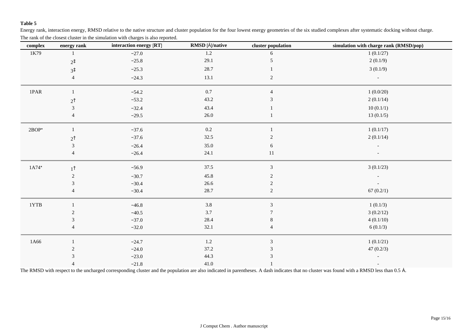Energy rank, interaction energy, RMSD relative to the native structure and cluster population for the four lowest energy geometries of the six studied complexes after systematic docking without charge. The rank of the closest cluster in the simulation with charges is also reported.

| complex                         | energy rank              | interaction energy [RT] | RMSD [Å]/native | cluster population       | simulation with charge rank (RMSD/pop) |
|---------------------------------|--------------------------|-------------------------|-----------------|--------------------------|----------------------------------------|
| 1K79                            |                          | $-27.0$                 | $1.2\,$         | 6                        | 1(0.1/27)                              |
|                                 | $2^{\ddagger}$           | $-25.8$                 | 29.1            | 5                        | 2(0.1/9)                               |
|                                 | 3 <sup>‡</sup>           | $-25.3$                 | 28.7            |                          | 3(0.1/9)                               |
|                                 | $\overline{4}$           | $-24.3$                 | 13.1            | $\sqrt{2}$               |                                        |
| $1\mathrm{PAR}$                 |                          | $-54.2$                 | $0.7\,$         | $\overline{\mathcal{A}}$ | 1(0.0/20)                              |
|                                 | 2 <sup>†</sup>           | $-53.2$                 | 43.2            |                          | 2(0.1/14)                              |
|                                 | 3                        | $-32.4$                 | 43.4            |                          | 10(0.1/1)                              |
|                                 | $\overline{4}$           | $-29.5$                 | 26.0            |                          | 13(0.1/5)                              |
| $2BOP*$                         | -1                       | $-37.6$                 | $0.2\,$         |                          | 1(0.1/17)                              |
|                                 | 2 <sup>†</sup>           | $-37.6$                 | 32.5            | $\overline{c}$           | 2(0.1/14)                              |
|                                 | $\mathfrak{Z}$           | $-26.4$                 | 35.0            | 6                        |                                        |
|                                 | $\overline{4}$           | $-26.4$                 | 24.1            | $11\,$                   |                                        |
| $1A74*$                         | 1 <sup>†</sup>           | $-56.9$                 | 37.5            | $\mathfrak{Z}$           | 3(0.1/23)                              |
|                                 | 2                        | $-30.7$                 | 45.8            | $\overline{c}$           |                                        |
|                                 | 3                        | $-30.4$                 | 26.6            | $\overline{c}$           |                                        |
|                                 | $\overline{4}$           | $-30.4$                 | 28.7            | $\sqrt{2}$               | 67(0.2/1)                              |
| $1{\hbox{Y}}{\hbox{T}}{\Bbb B}$ | 1                        | $-46.8$                 | 3.8             | 3                        | 1(0.1/3)                               |
|                                 | $\overline{2}$           | $-40.5$                 | 3.7             |                          | 3(0.2/12)                              |
|                                 | 3                        | $-37.0$                 | 28.4            | 8                        | 4(0.1/10)                              |
|                                 | $\overline{4}$           | $-32.0$                 | 32.1            | $\overline{4}$           | 6(0.1/3)                               |
| 1A66                            | $\mathbf{1}$             | $-24.7$                 | $1.2\,$         | 3                        | 1(0.1/21)                              |
|                                 | 2                        | $-24.0$                 | 37.2            | 3                        | 47 $(0.2/3)$                           |
|                                 | 3                        | $-23.0$                 | 44.3            | 3                        |                                        |
|                                 | $\overline{\mathcal{A}}$ | $-21.8$                 | 41.0            |                          | $\sim$                                 |

The RMSD with respect to the uncharged corresponding cluster and the population are also indicated in parentheses. A dash indicates that no cluster was found with a RMSD less than 0.5 Å.